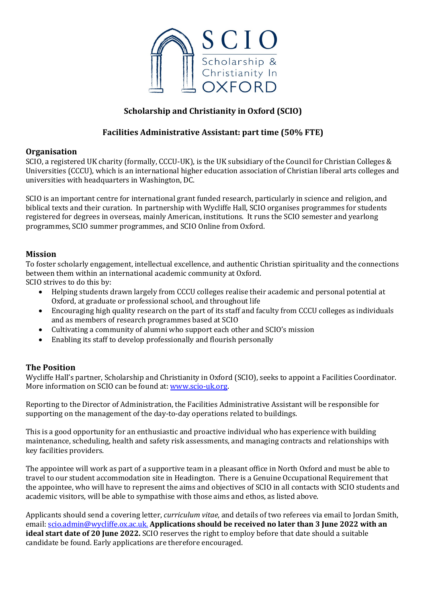

# **Scholarship and Christianity in Oxford (SCIO)**

## **Facilities Administrative Assistant: part time (50% FTE)**

#### **Organisation**

SCIO, a registered UK charity (formally, CCCU-UK), is the UK subsidiary of the Council for Christian Colleges  $\&$ Universities (CCCU), which is an international higher education association of Christian liberal arts colleges and universities with headquarters in Washington, DC.

SCIO is an important centre for international grant funded research, particularly in science and religion, and biblical texts and their curation. In partnership with Wycliffe Hall, SCIO organises programmes for students registered for degrees in overseas, mainly American, institutions. It runs the SCIO semester and yearlong programmes, SCIO summer programmes, and SCIO Online from Oxford.

#### **Mission**

To foster scholarly engagement, intellectual excellence, and authentic Christian spirituality and the connections between them within an international academic community at Oxford.

SCIO strives to do this by:

- Helping students drawn largely from CCCU colleges realise their academic and personal potential at Oxford, at graduate or professional school, and throughout life
- Encouraging high quality research on the part of its staff and faculty from CCCU colleges as individuals and as members of research programmes based at SCIO
- Cultivating a community of alumni who support each other and SCIO's mission
- Enabling its staff to develop professionally and flourish personally

### **The Position**

Wycliffe Hall's partner, Scholarship and Christianity in Oxford (SCIO), seeks to appoint a Facilities Coordinator. More information on SCIO can be found at: www.scio-uk.org.

Reporting to the Director of Administration, the Facilities Administrative Assistant will be responsible for supporting on the management of the day-to-day operations related to buildings.

This is a good opportunity for an enthusiastic and proactive individual who has experience with building maintenance, scheduling, health and safety risk assessments, and managing contracts and relationships with key facilities providers.

The appointee will work as part of a supportive team in a pleasant office in North Oxford and must be able to travel to our student accommodation site in Headington. There is a Genuine Occupational Requirement that the appointee, who will have to represent the aims and objectives of SCIO in all contacts with SCIO students and academic visitors, will be able to sympathise with those aims and ethos, as listed above.

Applicants should send a covering letter, *curriculum vitae*, and details of two referees via email to Jordan Smith, email: scio.admin@wycliffe.ox.ac.uk. Applications should be received no later than 3 June 2022 with an **ideal start date of 20 June 2022.** SCIO reserves the right to employ before that date should a suitable candidate be found. Early applications are therefore encouraged.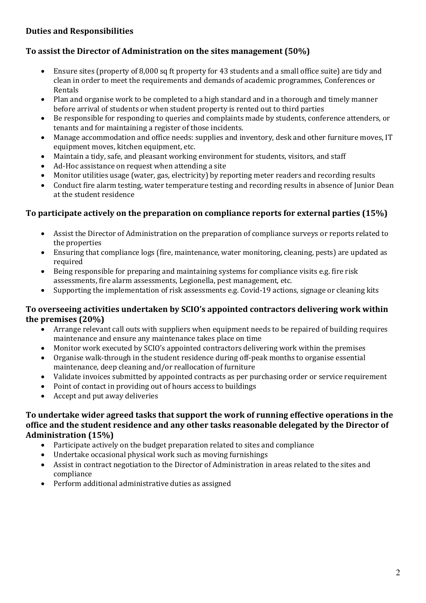## **Duties and Responsibilities**

## **To assist the Director of Administration on the sites management (50%)**

- Ensure sites (property of 8,000 sq ft property for 43 students and a small office suite) are tidy and clean in order to meet the requirements and demands of academic programmes, Conferences or Rentals
- Plan and organise work to be completed to a high standard and in a thorough and timely manner before arrival of students or when student property is rented out to third parties
- Be responsible for responding to queries and complaints made by students, conference attenders, or tenants and for maintaining a register of those incidents.
- Manage accommodation and office needs: supplies and inventory, desk and other furniture moves, IT equipment moves, kitchen equipment, etc.
- Maintain a tidy, safe, and pleasant working environment for students, visitors, and staff
- Ad-Hoc assistance on request when attending a site
- Monitor utilities usage (water, gas, electricity) by reporting meter readers and recording results
- Conduct fire alarm testing, water temperature testing and recording results in absence of Junior Dean at the student residence

### **To participate actively on the preparation on compliance reports for external parties (15%)**

- Assist the Director of Administration on the preparation of compliance surveys or reports related to the properties
- Ensuring that compliance logs (fire, maintenance, water monitoring, cleaning, pests) are updated as required
- Being responsible for preparing and maintaining systems for compliance visits e.g. fire risk assessments, fire alarm assessments, Legionella, pest management, etc.
- Supporting the implementation of risk assessments e.g. Covid-19 actions, signage or cleaning kits

### To overseeing activities undertaken by SCIO's appointed contractors delivering work within the premises  $(20%)$

- Arrange relevant call outs with suppliers when equipment needs to be repaired of building requires maintenance and ensure any maintenance takes place on time
- Monitor work executed by SCIO's appointed contractors delivering work within the premises
- Organise walk-through in the student residence during off-peak months to organise essential maintenance, deep cleaning and/or reallocation of furniture
- Validate invoices submitted by appointed contracts as per purchasing order or service requirement
- Point of contact in providing out of hours access to buildings
- Accept and put away deliveries

### To undertake wider agreed tasks that support the work of running effective operations in the office and the student residence and any other tasks reasonable delegated by the Director of Administration (15%)

- Participate actively on the budget preparation related to sites and compliance
- Undertake occasional physical work such as moving furnishings
- Assist in contract negotiation to the Director of Administration in areas related to the sites and compliance
- Perform additional administrative duties as assigned